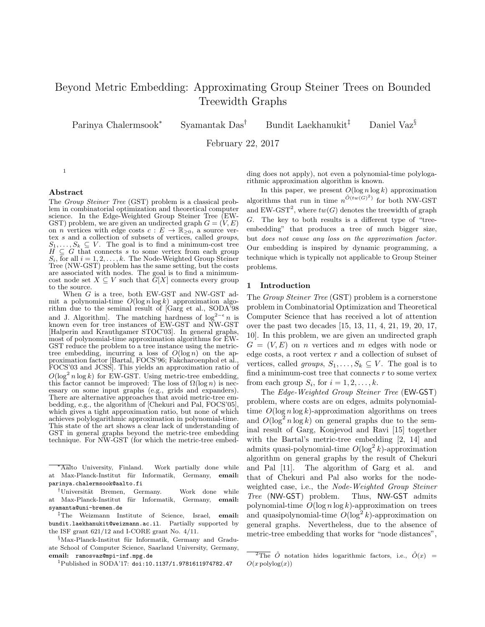# Beyond Metric Embedding: Approximating Group Steiner Trees on Bounded Treewidth Graphs

Parinya Chalermsook<sup>∗</sup>

Syamantak Das<sup>†</sup> Bundit Laekhanukit<sup>‡</sup> Daniel Vaz<sup>§</sup>

February 22, 2017

# Abstract

The Group Steiner Tree (GST) problem is a classical problem in combinatorial optimization and theoretical computer science. In the Edge-Weighted Group Steiner Tree (EW-GST) problem, we are given an undirected graph  $G = (V, E)$ on *n* vertices with edge costs  $c : E \to \mathbb{R}_{\geq 0}$ , a source vertex s and a collection of subsets of vertices, called groups,  $S_1, \ldots, S_k \subseteq V$ . The goal is to find a minimum-cost tree  $H \subseteq G$  that connects s to some vertex from each group  $S_i$ , for all  $i = 1, 2, \ldots, k$ . The Node-Weighted Group Steiner Tree (NW-GST) problem has the same setting, but the costs are associated with nodes. The goal is to find a minimumcost node set  $X \subseteq V$  such that  $\widetilde{G}[X]$  connects every group to the source.

When G is a tree, both EW-GST and NW-GST admit a polynomial-time  $O(\log n \log k)$  approximation algorithm due to the seminal result of [Garg et al., SODA'98 and J. Algorithm]. The matching hardness of  $\log^{2-\epsilon} n$  is known even for tree instances of EW-GST and NW-GST [Halperin and Krauthgamer STOC'03]. In general graphs, most of polynomial-time approximation algorithms for EW-GST reduce the problem to a tree instance using the metrictree embedding, incurring a loss of  $O(\log n)$  on the approximation factor [Bartal, FOCS'96; Fakcharoenphol et al., FOCS'03 and JCSS]. This yields an approximation ratio of  $O(\log^2 n \log k)$  for EW-GST. Using metric-tree embedding, this factor cannot be improved: The loss of  $\Omega(\log n)$  is necessary on some input graphs (e.g., grids and expanders). There are alternative approaches that avoid metric-tree embedding, e.g., the algorithm of [Chekuri and Pal, FOCS'05], which gives a tight approximation ratio, but none of which achieves polylogarithmic approximation in polynomial-time. This state of the art shows a clear lack of understanding of GST in general graphs beyond the metric-tree embedding technique. For NW-GST (for which the metric-tree embed-

<sup>∗</sup>Aalto University, Finland. Work partially done while at Max-Planck-Institut für Informatik, Germany, email: parinya.chalermsook@aalto.fi

<sup>†</sup>Universität Bremen, Germany. Work done while at Max-Planck-Institut für Informatik, Germany, email: syamanta@uni-bremen.de

‡The Weizmann Institute of Science, Israel, email: bundit.laekhanukit@weizmann.ac.il. Partially supported by the ISF grant 621/12 and I-CORE grant No. 4/11.

 $%$ Max-Planck-Institut für Informatik, Germany and Graduate School of Computer Science, Saarland University, Germany, email: ramosvaz@mpi-inf.mpg.de

<sup>1</sup>Published in SODA'17: doi:10.1137/1.9781611974782.47

ding does not apply), not even a polynomial-time polylogarithmic approximation algorithm is known.

In this paper, we present  $O(\log n \log k)$  approximation algorithms that run in time  $n^{\tilde{O}(tw(G)^2)}$  for both NW-GST and EW-GST<sup>2</sup>, where  $tw(G)$  denotes the treewidth of graph G. The key to both results is a different type of "treeembedding" that produces a tree of much bigger size, but does not cause any loss on the approximation factor. Our embedding is inspired by dynamic programming, a technique which is typically not applicable to Group Steiner problems.

#### 1 Introduction

The Group Steiner Tree (GST) problem is a cornerstone problem in Combinatorial Optimization and Theoretical Computer Science that has received a lot of attention over the past two decades [15, 13, 11, 4, 21, 19, 20, 17, 10]. In this problem, we are given an undirected graph  $G = (V, E)$  on *n* vertices and *m* edges with node or edge costs, a root vertex  $r$  and a collection of subset of vertices, called groups,  $S_1, \ldots, S_k \subseteq V$ . The goal is to find a minimum-cost tree that connects  $r$  to some vertex from each group  $S_i$ , for  $i = 1, 2, \ldots, k$ .

The Edge-Weighted Group Steiner Tree (EW-GST) problem, where costs are on edges, admits polynomialtime  $O(\log n \log k)$ -approximation algorithms on trees and  $O(\log^2 n \log k)$  on general graphs due to the seminal result of Garg, Konjevod and Ravi [15] together with the Bartal's metric-tree embedding [2, 14] and admits quasi-polynomial-time  $O(\log^2 k)$ -approximation algorithm on general graphs by the result of Chekuri and Pal [11]. The algorithm of Garg et al. and that of Chekuri and Pal also works for the nodeweighted case, i.e., the Node-Weighted Group Steiner Tree (NW-GST) problem. Thus, NW-GST admits polynomial-time  $O(\log n \log k)$ -approximation on trees and quasipolynomial-time  $O(\log^2 k)$ -approximation on general graphs. Nevertheless, due to the absence of metric-tree embedding that works for "node distances",

<sup>1</sup>

<sup>&</sup>lt;sup>2</sup>The  $\tilde{O}$  notation hides logarithmic factors, i.e.,  $\tilde{O}(x)$  =  $O(x \text{ polylog}(x))$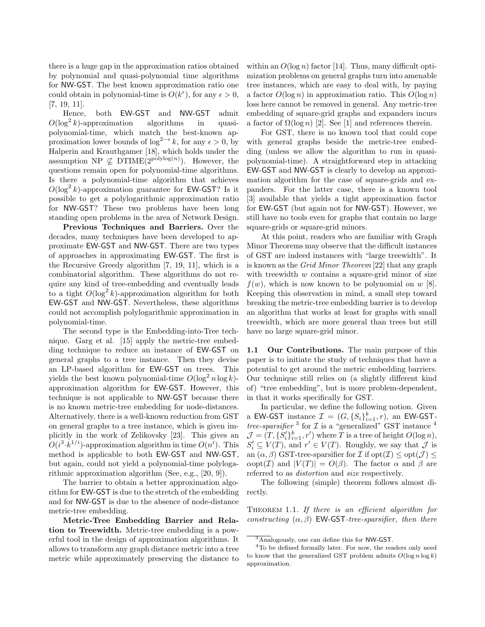there is a huge gap in the approximation ratios obtained by polynomial and quasi-polynomial time algorithms for NW-GST. The best known approximation ratio one could obtain in polynomial-time is  $O(k^{\epsilon})$ , for any  $\epsilon > 0$ , [7, 19, 11].

Hence, both EW-GST and NW-GST admit  $O(\log^2 k)$ -approximation algorithms in quasipolynomial-time, which match the best-known approximation lower bounds of  $\log^{2-\epsilon} k$ , for any  $\epsilon > 0$ , by Halperin and Krauthgamer [18], which holds under the assumption NP  $\nsubseteq$  DTIME( $2^{\text{polylog}(n)}$ ). However, the questions remain open for polynomial-time algorithms. Is there a polynomial-time algorithm that achieves  $O(\log^2 k)$ -approximation guarantee for **EW-GST**? Is it possible to get a polylogarithmic approximation ratio for NW-GST? These two problems have been long standing open problems in the area of Network Design.

Previous Techniques and Barriers. Over the decades, many techniques have been developed to approximate EW-GST and NW-GST. There are two types of approaches in approximating EW-GST. The first is the Recursive Greedy algorithm [7, 19, 11], which is a combinatorial algorithm. These algorithms do not require any kind of tree-embedding and eventually leads to a tight  $O(\log^2 k)$ -approximation algorithm for both EW-GST and NW-GST. Nevertheless, these algorithms could not accomplish polylogarithmic approximation in polynomial-time.

The second type is the Embedding-into-Tree technique. Garg et al. [15] apply the metric-tree embedding technique to reduce an instance of EW-GST on general graphs to a tree instance. Then they devise an LP-based algorithm for EW-GST on trees. This yields the best known polynomial-time  $O(\log^2 n \log k)$ approximation algorithm for EW-GST. However, this technique is not applicable to NW-GST because there is no known metric-tree embedding for node-distances. Alternatively, there is a well-known reduction from GST on general graphs to a tree instance, which is given implicitly in the work of Zelikovsky [23]. This gives an  $O(i^3 \cdot k^{1/i})$ -approximation algorithm in time  $O(n^i)$ . This method is applicable to both EW-GST and NW-GST, but again, could not yield a polynomial-time polylogarithmic approximation algorithm (See, e.g., [20, 9]).

The barrier to obtain a better approximation algorithm for EW-GST is due to the stretch of the embedding and for NW-GST is due to the absence of node-distance metric-tree embedding.

Metric-Tree Embedding Barrier and Relation to Treewidth. Metric-tree embedding is a powerful tool in the design of approximation algorithms. It allows to transform any graph distance metric into a tree metric while approximately preserving the distance to within an  $O(\log n)$  factor [14]. Thus, many difficult optimization problems on general graphs turn into amenable tree instances, which are easy to deal with, by paying a factor  $O(\log n)$  in approximation ratio. This  $O(\log n)$ loss here cannot be removed in general. Any metric-tree embedding of square-grid graphs and expanders incurs a factor of  $\Omega(\log n)$  [2]. See [1] and references therein.

For GST, there is no known tool that could cope with general graphs beside the metric-tree embedding (unless we allow the algorithm to run in quasipolynomial-time). A straightforward step in attacking EW-GST and NW-GST is clearly to develop an approximation algorithm for the case of square-grids and expanders. For the latter case, there is a known tool [3] available that yields a tight approximation factor for EW-GST (but again not for NW-GST). However, we still have no tools even for graphs that contain no large square-grids or square-grid minors.

At this point, readers who are familiar with Graph Minor Theorems may observe that the difficult instances of GST are indeed instances with "large treewidth". It is known as the Grid Minor Theorem [22] that any graph with treewidth  $w$  contains a square-grid minor of size  $f(w)$ , which is now known to be polynomial on w [8]. Keeping this observation in mind, a small step toward breaking the metric-tree embedding barrier is to develop an algorithm that works at least for graphs with small treewidth, which are more general than trees but still have no large square-grid minor.

1.1 Our Contributions. The main purpose of this paper is to initiate the study of techniques that have a potential to get around the metric embedding barriers. Our technique still relies on (a slightly different kind of) "tree embedding", but is more problem-dependent, in that it works specifically for GST.

In particular, we define the following notion. Given a EW-GST instance  $\mathcal{I} = (G, \{S_i\}_{i=1}^k, r)$ , an EW-GST*tree-sparsifier*<sup>3</sup> for  $\mathcal I$  is a "generalized" GST instance<sup>4</sup>  $\mathcal{J} = (T, \{S_i'\}_{i=1}^k, r')$  where T is a tree of height  $O(\log n)$ ,  $S_i' \subseteq V(T)$ , and  $r' \in V(T)$ . Roughly, we say that  $\mathcal J$  is an  $(\alpha, \beta)$  GST-tree-sparsifier for  $\mathcal I$  if  $opt(\mathcal{I}) \leq opt(\mathcal{J}) \leq$  $\alpha$ opt(*I*) and  $|V(T)| = O(\beta)$ . The factor  $\alpha$  and  $\beta$  are referred to as distortion and size respectively.

The following (simple) theorem follows almost directly.

THEOREM 1.1. If there is an efficient algorithm for constructing  $(\alpha, \beta)$  EW-GST-tree-sparsifier, then there

 $\frac{3}{4}$ Analogously, one can define this for NW-GST.

<sup>4</sup>To be defined formally later. For now, the readers only need to know that the generalized GST problem admits  $O(\log n \log k)$ approximation.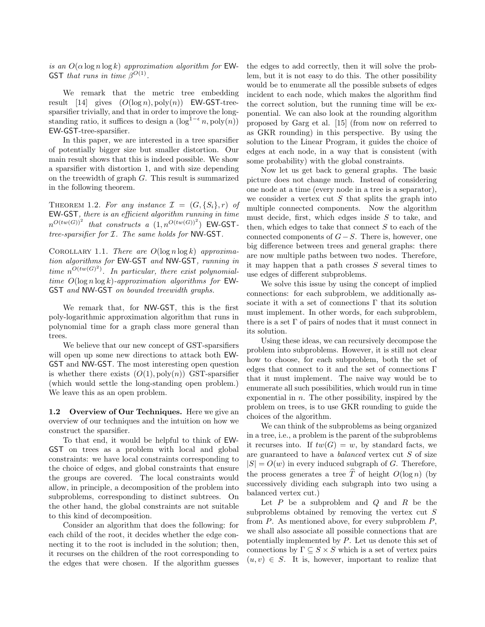is an  $O(\alpha \log n \log k)$  approximation algorithm for EW-GST that runs in time  $\beta^{O(1)}$ .

We remark that the metric tree embedding result  $[14]$  gives  $(O(\log n), \text{poly}(n))$  EW-GST-treesparsifier trivially, and that in order to improve the longstanding ratio, it suffices to design a  $(\log^{1-\epsilon} n, \text{poly}(n))$ EW-GST-tree-sparsifier.

In this paper, we are interested in a tree sparsifier of potentially bigger size but smaller distortion. Our main result shows that this is indeed possible. We show a sparsifier with distortion 1, and with size depending on the treewidth of graph G. This result is summarized in the following theorem.

THEOREM 1.2. For any instance  $\mathcal{I} = (G, \{S_i\}, r)$  of EW-GST, there is an efficient algorithm running in time  $n^{O(tw(G))^2}$  that constructs a  $(1,n^{O(tw(G))^2})$  EW-GSTtree-sparsifier for I. The same holds for NW-GST.

COROLLARY 1.1. There are  $O(\log n \log k)$  approximation algorithms for EW-GST and NW-GST, running in time  $n^{O(tw(G)^2)}$ . In particular, there exist polynomialtime  $O(\log n \log k)$ -approximation algorithms for EW-GST and NW-GST on bounded treewidth graphs.

We remark that, for NW-GST, this is the first poly-logarithmic approximation algorithm that runs in polynomial time for a graph class more general than trees.

We believe that our new concept of GST-sparsifiers will open up some new directions to attack both **EW-**GST and NW-GST. The most interesting open question is whether there exists  $(O(1), poly(n))$  GST-sparsifier (which would settle the long-standing open problem.) We leave this as an open problem.

1.2 Overview of Our Techniques. Here we give an overview of our techniques and the intuition on how we construct the sparsifier.

To that end, it would be helpful to think of EW-GST on trees as a problem with local and global constraints: we have local constraints corresponding to the choice of edges, and global constraints that ensure the groups are covered. The local constraints would allow, in principle, a decomposition of the problem into subproblems, corresponding to distinct subtrees. On the other hand, the global constraints are not suitable to this kind of decomposition.

Consider an algorithm that does the following: for each child of the root, it decides whether the edge connecting it to the root is included in the solution; then, it recurses on the children of the root corresponding to the edges that were chosen. If the algorithm guesses

the edges to add correctly, then it will solve the problem, but it is not easy to do this. The other possibility would be to enumerate all the possible subsets of edges incident to each node, which makes the algorithm find the correct solution, but the running time will be exponential. We can also look at the rounding algorithm proposed by Garg et al. [15] (from now on referred to as GKR rounding) in this perspective. By using the solution to the Linear Program, it guides the choice of edges at each node, in a way that is consistent (with some probability) with the global constraints.

Now let us get back to general graphs. The basic picture does not change much. Instead of considering one node at a time (every node in a tree is a separator), we consider a vertex cut  $S$  that splits the graph into multiple connected components. Now the algorithm must decide, first, which edges inside  $S$  to take, and then, which edges to take that connect  $S$  to each of the connected components of  $G-S$ . There is, however, one big difference between trees and general graphs: there are now multiple paths between two nodes. Therefore, it may happen that a path crosses  $S$  several times to use edges of different subproblems.

We solve this issue by using the concept of implied connections: for each subproblem, we additionally associate it with a set of connections Γ that its solution must implement. In other words, for each subproblem, there is a set  $\Gamma$  of pairs of nodes that it must connect in its solution.

Using these ideas, we can recursively decompose the problem into subproblems. However, it is still not clear how to choose, for each subproblem, both the set of edges that connect to it and the set of connections Γ that it must implement. The naive way would be to enumerate all such possibilities, which would run in time exponential in  $n$ . The other possibility, inspired by the problem on trees, is to use GKR rounding to guide the choices of the algorithm.

We can think of the subproblems as being organized in a tree, i.e., a problem is the parent of the subproblems it recurses into. If  $tw(G) = w$ , by standard facts, we are guaranteed to have a balanced vertex cut S of size  $|S| = O(w)$  in every induced subgraph of G. Therefore, the process generates a tree  $\widehat{T}$  of height  $O(\log n)$  (by successively dividing each subgraph into two using a balanced vertex cut.)

Let  $P$  be a subproblem and  $Q$  and  $R$  be the subproblems obtained by removing the vertex cut  $S$ from  $P$ . As mentioned above, for every subproblem  $P$ , we shall also associate all possible connections that are potentially implemented by P. Let us denote this set of connections by  $\Gamma \subseteq S \times S$  which is a set of vertex pairs  $(u, v) \in S$ . It is, however, important to realize that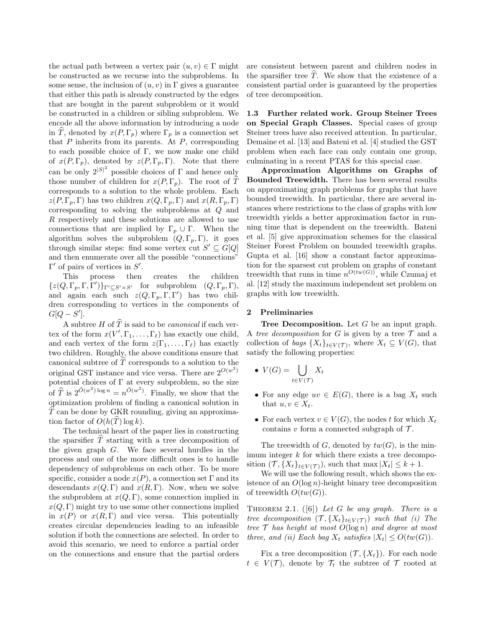the actual path between a vertex pair  $(u, v) \in \Gamma$  might be constructed as we recurse into the subproblems. In some sense, the inclusion of  $(u, v)$  in  $\Gamma$  gives a guarantee that either this path is already constructed by the edges that are bought in the parent subproblem or it would be constructed in a children or sibling subproblem. We encode all the above information by introducing a node in T, denoted by  $x(P, \Gamma_p)$  where  $\Gamma_p$  is a connection set that  $P$  inherits from its parents. At  $P$ , corresponding to each possible choice of Γ, we now make one child of  $x(P, \Gamma_p)$ , denoted by  $z(P, \Gamma_p, \Gamma)$ . Note that there can be only  $2^{|S|^2}$  possible choices of  $\Gamma$  and hence only those number of children for  $x(P, \Gamma_p)$ . The root of  $\widehat{T}$ corresponds to a solution to the whole problem. Each  $z(P, \Gamma_p, \Gamma)$  has two children  $x(Q, \Gamma_p, \Gamma)$  and  $x(R, \Gamma_p, \Gamma)$ corresponding to solving the subproblems at Q and R respectively and these solutions are allowed to use connections that are implied by  $\Gamma_p \cup \Gamma$ . When the algorithm solves the subproblem  $(Q, \Gamma_p, \Gamma)$ , it goes through similar steps: find some vertex cut  $S' \subseteq G[Q]$ and then enumerate over all the possible "connections"  $\Gamma'$  of pairs of vertices in  $S'$ .

This process then creates the children  ${z(Q, \Gamma_p, \Gamma, \Gamma')}$ <sub> $\Gamma' \subseteq S' \times S'$ </sub> for subproblem  $(Q, \Gamma_p, \Gamma)$ , and again each such  $z(Q, \Gamma_p, \Gamma, \Gamma')$  has two children corresponding to vertices in the components of  $G[Q-S']$ .

A subtree H of  $\hat{T}$  is said to be *canonical* if each vertex of the form  $x(V', \Gamma_1, \ldots, \Gamma_\ell)$  has exactly one child, and each vertex of the form  $z(\Gamma_1, \ldots, \Gamma_\ell)$  has exactly two children. Roughly, the above conditions ensure that canonical subtree of  $T$  corresponds to a solution to the original GST instance and vice versa. There are  $2^{O(w^2)}$ potential choices of  $\Gamma$  at every subproblem, so the size of  $\hat{T}$  is  $2^{\tilde{O}(w^2) \log n} = n^{\tilde{O}(w^2)}$ . Finally, we show that the optimization problem of finding a canonical solution in  $\overline{T}$  can be done by GKR rounding, giving an approximation factor of  $O(h(\tilde{T}) \log k)$ .

The technical heart of the paper lies in constructing the sparsifier  $\widehat{T}$  starting with a tree decomposition of the given graph G. We face several hurdles in the process and one of the more difficult ones is to handle dependency of subproblems on each other. To be more specific, consider a node  $x(P)$ , a connection set Γ and its descendants  $x(Q, \Gamma)$  and  $x(R, \Gamma)$ . Now, when we solve the subproblem at  $x(Q, \Gamma)$ , some connection implied in  $x(Q, \Gamma)$  might try to use some other connections implied in  $x(P)$  or  $x(R,\Gamma)$  and vice versa. This potentially creates circular dependencies leading to an infeasible solution if both the connections are selected. In order to avoid this scenario, we need to enforce a partial order on the connections and ensure that the partial orders

are consistent between parent and children nodes in the sparsifier tree  $\hat{T}$ . We show that the existence of a consistent partial order is guaranteed by the properties of tree decomposition.

1.3 Further related work. Group Steiner Trees on Special Graph Classes. Special cases of group Steiner trees have also received attention. In particular, Demaine et al. [13] and Bateni et al. [4] studied the GST problem when each face can only contain one group, culminating in a recent PTAS for this special case.

Approximation Algorithms on Graphs of Bounded Treewidth. There has been several results on approximating graph problems for graphs that have bounded treewidth. In particular, there are several instances where restrictions to the class of graphs with low treewidth yields a better approximation factor in running time that is dependent on the treewidth. Bateni et al. [5] give approximation schemes for the classical Steiner Forest Problem on bounded treewidth graphs. Gupta et al. [16] show a constant factor approximation for the sparsest cut problem on graphs of constant treewidth that runs in time  $n^{O(tw(G))}$ , while Czumaj et al. [12] study the maximum independent set problem on graphs with low treewidth.

# 2 Preliminaries

**Tree Decomposition.** Let  $G$  be an input graph. A tree decomposition for G is given by a tree  $\mathcal T$  and a collection of *bags*  $\{X_t\}_{t\in V(\mathcal{T})}$ , where  $X_t \subseteq V(G)$ , that satisfy the following properties:

- $V(G) = \begin{bmatrix} \end{bmatrix}$  $t\in V(\mathcal{T})$  $X_t$
- For any edge  $uv \in E(G)$ , there is a bag  $X_t$  such that  $u, v \in X_t$ .
- For each vertex  $v \in V(G)$ , the nodes t for which  $X_t$ contains v form a connected subgraph of  $\mathcal{T}$ .

The treewidth of G, denoted by  $tw(G)$ , is the minimum integer  $k$  for which there exists a tree decomposition  $(\mathcal{T}, \{X_t\}_{t\in V(\mathcal{T})})$ , such that max  $|X_t| \leq k+1$ .

We will use the following result, which shows the existence of an  $O(\log n)$ -height binary tree decomposition of treewidth  $O(tw(G))$ .

THEOREM 2.1.  $([6])$  Let G be any graph. There is a tree decomposition  $(\mathcal{T}, \{X_t\}_{t\in V(\mathcal{T})})$  such that (i) The tree  $\mathcal T$  has height at most  $O(\log n)$  and degree at most three, and (ii) Each bag  $X_t$  satisfies  $|X_t| \le O(tw(G)).$ 

Fix a tree decomposition  $(\mathcal{T}, \{X_t\})$ . For each node  $t \in V(\mathcal{T})$ , denote by  $\mathcal{T}_t$  the subtree of  $\mathcal{T}$  rooted at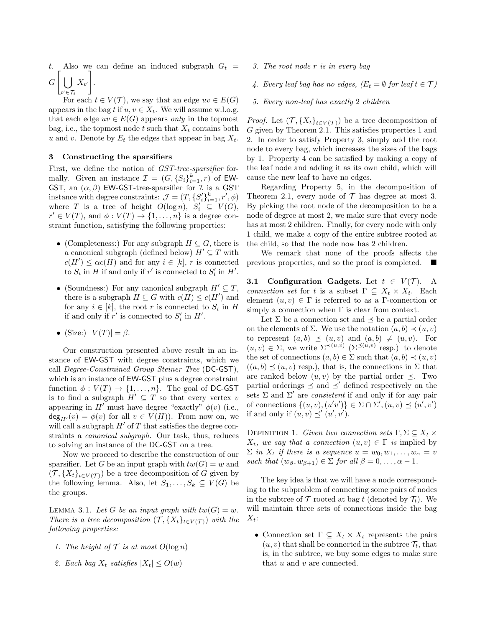Also we can define an induced subgraph  $G_t =$  $G\big[\,\big\vert\,\big\vert\,\big]$  $t' \in \mathcal{T}_t$  $X_{t'}$ 1 .

For each  $t \in V(\mathcal{T})$ , we say that an edge  $uv \in E(G)$ appears in the bag t if  $u, v \in X_t$ . We will assume w.l.o.g. that each edge  $uv \in E(G)$  appears only in the topmost bag, i.e., the topmost node t such that  $X_t$  contains both u and v. Denote by  $E_t$  the edges that appear in bag  $X_t$ .

# 3 Constructing the sparsifiers

First, we define the notion of GST-tree-sparsifier formally. Given an instance  $\mathcal{I} = (G, \{S_i\}_{i=1}^k, r)$  of EW-GST, an  $(\alpha, \beta)$  EW-GST-tree-sparsifier for  $\mathcal I$  is a GST instance with degree constraints:  $\mathcal{J} = (T, \{S_i'\}_{i=1}^k, r', \phi)$ where T is a tree of height  $O(\log n)$ ,  $S_i' \subseteq V(G)$ ,  $r' \in V(T)$ , and  $\phi: V(T) \to \{1, \ldots, n\}$  is a degree constraint function, satisfying the following properties:

- (Completeness:) For any subgraph  $H \subseteq G$ , there is a canonical subgraph (defined below)  $H' \subseteq T$  with  $c(H') \leq \alpha c(H)$  and for any  $i \in [k]$ , r is connected to  $S_i$  in H if and only if r' is connected to  $S_i'$  in H'.
- (Soundness:) For any canonical subgraph  $H' \subseteq T$ , there is a subgraph  $H \subseteq G$  with  $c(H) \leq c(H')$  and for any  $i \in [k]$ , the root r is connected to  $S_i$  in H if and only if  $r'$  is connected to  $S_i'$  in  $H'$ .
- (Size:)  $|V(T)| = \beta$ .

Our construction presented above result in an instance of EW-GST with degree constraints, which we call Degree-Constrained Group Steiner Tree (DC-GST), which is an instance of EW-GST plus a degree constraint function  $\phi: V(T) \to \{1, \ldots, n\}$ . The goal of DC-GST is to find a subgraph  $H' \subseteq T$  so that every vertex v appearing in H<sup> $\prime$ </sup> must have degree "exactly"  $\phi(v)$  (i.e.,  $deg_{H'}(v) = \phi(v)$  for all  $v \in V(H)$ ). From now on, we will call a subgraph  $H'$  of T that satisfies the degree constraints a canonical subgraph. Our task, thus, reduces to solving an instance of the DC-GST on a tree.

Now we proceed to describe the construction of our sparsifier. Let G be an input graph with  $tw(G) = w$  and  $({\mathcal T}, \{X_t\}_{t\in V({\mathcal T})})$  be a tree decomposition of G given by the following lemma. Also, let  $S_1, \ldots, S_k \subseteq V(G)$  be the groups.

LEMMA 3.1. Let G be an input graph with  $tw(G) = w$ . There is a tree decomposition  $(\mathcal{T}, \{X_t\}_{t\in V(\mathcal{T})})$  with the following properties:

- 1. The height of  $\mathcal T$  is at most  $O(\log n)$
- 2. Each bag  $X_t$  satisfies  $|X_t| \leq O(w)$
- 3. The root node r is in every bag
- 4. Every leaf bag has no edges,  $(E_t = \emptyset$  for leaf  $t \in \mathcal{T}$ )
- 5. Every non-leaf has exactly 2 children

*Proof.* Let  $(\mathcal{T}, \{X_t\}_{t \in V(\mathcal{T})})$  be a tree decomposition of G given by Theorem 2.1. This satisfies properties 1 and 2. In order to satisfy Property 3, simply add the root node to every bag, which increases the sizes of the bags by 1. Property 4 can be satisfied by making a copy of the leaf node and adding it as its own child, which will cause the new leaf to have no edges.

Regarding Property 5, in the decomposition of Theorem 2.1, every node of  $\mathcal T$  has degree at most 3. By picking the root node of the decomposition to be a node of degree at most 2, we make sure that every node has at most 2 children. Finally, for every node with only 1 child, we make a copy of the entire subtree rooted at the child, so that the node now has 2 children.

We remark that none of the proofs affects the previous properties, and so the proof is completed.

**3.1 Configuration Gadgets.** Let  $t \in V(\mathcal{T})$ . A connection set for t is a subset  $\Gamma \subseteq X_t \times X_t$ . Each element  $(u, v) \in \Gamma$  is referred to as a Γ-connection or simply a connection when  $\Gamma$  is clear from context.

Let  $\Sigma$  be a connection set and  $\prec$  be a partial order on the elements of  $\Sigma$ . We use the notation  $(a, b) \prec (u, v)$ to represent  $(a, b) \preceq (u, v)$  and  $(a, b) \neq (u, v)$ . For  $(u, v) \in \Sigma$ , we write  $\Sigma^{\prec (u, v)}$   $(\Sigma^{\preceq (u, v)}$  resp.) to denote the set of connections  $(a, b) \in \Sigma$  such that  $(a, b) \prec (u, v)$  $((a, b) \prec (u, v)$  resp.), that is, the connections in  $\Sigma$  that are ranked below  $(u, v)$  by the partial order  $\prec$ . Two partial orderings  $\preceq$  and  $\preceq'$  defined respectively on the sets  $\Sigma$  and  $\Sigma'$  are *consistent* if and only if for any pair of connections  $\{(u, v), (u'v')\} \in \Sigma \cap \Sigma', (u, v) \preceq (u', v')$ if and only if  $(u, v) \preceq' (u', v')$ .

DEFINITION 1. Given two connection sets  $\Gamma, \Sigma \subseteq X_t \times$  $X_t$ , we say that a connection  $(u, v) \in \Gamma$  is implied by  $\Sigma$  in  $X_t$  if there is a sequence  $u = w_0, w_1, \ldots, w_\alpha = v$ such that  $(w_{\beta}, w_{\beta+1}) \in \Sigma$  for all  $\beta = 0, \ldots, \alpha - 1$ .

The key idea is that we will have a node corresponding to the subproblem of connecting some pairs of nodes in the subtree of  $\mathcal T$  rooted at bag t (denoted by  $\mathcal T_t$ ). We will maintain three sets of connections inside the bag  $X_t$ :

• Connection set  $\Gamma \subseteq X_t \times X_t$  represents the pairs  $(u, v)$  that shall be connected in the subtree  $\mathcal{T}_t$ , that is, in the subtree, we buy some edges to make sure that u and v are connected.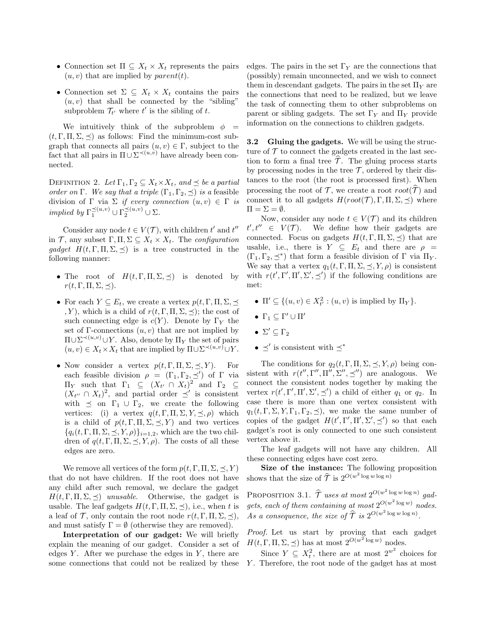- Connection set  $\Pi \subseteq X_t \times X_t$  represents the pairs  $(u, v)$  that are implied by *parent* $(t)$ .
- Connection set  $\Sigma \subseteq X_t \times X_t$  contains the pairs  $(u, v)$  that shall be connected by the "sibling" subproblem  $\mathcal{T}_{t'}$  where  $t'$  is the sibling of  $t$ .

We intuitively think of the subproblem  $\phi =$  $(t, \Gamma, \Pi, \Sigma, \prec)$  as follows: Find the minimum-cost subgraph that connects all pairs  $(u, v) \in \Gamma$ , subject to the fact that all pairs in  $\Pi \cup \Sigma^{\prec (u,v)}$  have already been connected.

DEFINITION 2. Let  $\Gamma_1, \Gamma_2 \subseteq X_t \times X_t$ , and  $\preceq$  be a partial order on Γ. We say that a triple  $(\Gamma_1, \Gamma_2, \preceq)$  is a feasible division of Γ via Σ if every connection  $(u, v) \in \Gamma$  is implied by  $\Gamma_1^{\preceq (u,v)} \cup \Gamma_2^{\preceq (u,v)} \cup \Sigma$ .

Consider any node  $t \in V(\mathcal{T})$ , with children  $t'$  and  $t''$ in T, any subset  $\Gamma, \Pi, \Sigma \subseteq X_t \times X_t$ . The configuration gadget  $H(t, \Gamma, \Pi, \Sigma, \preceq)$  is a tree constructed in the following manner:

- The root of  $H(t, \Gamma, \Pi, \Sigma, \preceq)$  is denoted by  $r(t, \Gamma, \Pi, \Sigma, \preceq).$
- For each  $Y \subseteq E_t$ , we create a vertex  $p(t, \Gamma, \Pi, \Sigma, \preceq)$ , Y), which is a child of  $r(t, \Gamma, \Pi, \Sigma, \preceq)$ ; the cost of such connecting edge is  $c(Y)$ . Denote by  $\Gamma_Y$  the set of  $\Gamma$ -connections  $(u, v)$  that are not implied by  $\Pi \cup \Sigma^{\prec (u,v)} \cup Y$ . Also, denote by  $\Pi_Y$  the set of pairs  $(u, v) \in X_t \times X_t$  that are implied by  $\Pi \cup \Sigma^{\prec (u, v)} \cup Y$ .
- Now consider a vertex  $p(t, \Gamma, \Pi, \Sigma, \preceq, Y)$ . For each feasible division  $\rho = (\Gamma_1, \Gamma_2, \preceq')$  of  $\Gamma$  via  $\Pi_Y$  such that Γ<sub>1</sub> ⊆  $(X_{t'} \cap X_t)^2$  and Γ<sub>2</sub> ⊆  $(X_{t''} \cap X_t)^2$ , and partial order  $\preceq'$  is consistent with  $\preceq$  on  $\Gamma_1 \cup \Gamma_2$ , we create the following vertices: (i) a vertex  $q(t, \Gamma, \Pi, \Sigma, Y, \preceq, \rho)$  which is a child of  $p(t, \Gamma, \Pi, \Sigma, \preceq, Y)$  and two vertices  ${q_i(t, \Gamma, \Pi, \Sigma, \preceq, Y, \rho)}_{i=1,2}$ , which are the two children of  $q(t, \Gamma, \Pi, \Sigma, \preceq, Y, \rho)$ . The costs of all these edges are zero.

We remove all vertices of the form  $p(t, \Gamma, \Pi, \Sigma, \prec, Y)$ that do not have children. If the root does not have any child after such removal, we declare the gadget  $H(t, \Gamma, \Pi, \Sigma, \preceq)$  unusable. Otherwise, the gadget is usable. The leaf gadgets  $H(t, \Gamma, \Pi, \Sigma, \preceq)$ , i.e., when t is a leaf of  $\mathcal{T}$ , only contain the root node  $r(t, \Gamma, \Pi, \Sigma, \prec),$ and must satisfy  $\Gamma = \emptyset$  (otherwise they are removed).

Interpretation of our gadget: We will briefly explain the meaning of our gadget. Consider a set of edges  $Y$ . After we purchase the edges in  $Y$ , there are some connections that could not be realized by these edges. The pairs in the set  $\Gamma_Y$  are the connections that (possibly) remain unconnected, and we wish to connect them in descendant gadgets. The pairs in the set  $\Pi_Y$  are the connections that need to be realized, but we leave the task of connecting them to other subproblems on parent or sibling gadgets. The set  $\Gamma_Y$  and  $\Pi_Y$  provide information on the connections to children gadgets.

3.2 Gluing the gadgets. We will be using the structure of  $\mathcal T$  to connect the gadgets created in the last section to form a final tree  $\mathcal{T}$ . The gluing process starts by processing nodes in the tree  $\mathcal T$ , ordered by their distances to the root (the root is processed first). When processing the root of T, we create a root  $root(\hat{T})$  and connect it to all gadgets  $H(root(\mathcal{T}), \Gamma, \Pi, \Sigma, \preceq)$  where  $\Pi = \Sigma = \emptyset.$ 

Now, consider any node  $t \in V(\mathcal{T})$  and its children  $t'$ We define how their gadgets are connected. Focus on gadgets  $H(t, \Gamma, \Pi, \Sigma, \preceq)$  that are usable, i.e., there is  $Y \subseteq E_t$  and there are  $\rho =$  $(\Gamma_1, \Gamma_2, \preceq^*)$  that form a feasible division of  $\Gamma$  via  $\Pi_Y$ . We say that a vertex  $q_1(t, \Gamma, \Pi, \Sigma, \preceq, Y, \rho)$  is consistent with  $r(t', \Gamma', \Pi', \Sigma', \preceq')$  if the following conditions are met:

- $\Pi' \subseteq \{(u, v) \in X_{t'}^2 : (u, v) \text{ is implied by } \Pi_Y\}.$
- $\Gamma_1 \subseteq \Gamma' \cup \Pi'$
- $\Sigma' \subseteq \Gamma_2$
- $\preceq'$  is consistent with  $\preceq^*$

The conditions for  $q_2(t, \Gamma, \Pi, \Sigma, \preceq, Y, \rho)$  being consistent with  $r(t'', \Gamma'', \Pi'', \Sigma'', \preceq'')$  are analogous. We connect the consistent nodes together by making the vertex  $r(t', \Gamma', \Pi', \Sigma', \preceq')$  a child of either  $q_1$  or  $q_2$ . In case there is more than one vertex consistent with  $q_1(t, \Gamma, \Sigma, Y, \Gamma_1, \Gamma_2, \preceq)$ , we make the same number of copies of the gadget  $H(t', \Gamma', \Pi', \Sigma', \preceq')$  so that each gadget's root is only connected to one such consistent vertex above it.

The leaf gadgets will not have any children. All these connecting edges have cost zero.

Size of the instance: The following proposition shows that the size of  $\hat{\mathcal{T}}$  is  $2^{O(w^2 \log w \log n)}$ 

PROPOSITION 3.1.  $\hat{\mathcal{T}}$  uses at most  $2^{O(w^2 \log w \log n)}$  gadgets, each of them containing at most  $2^{O(w^2 \log w)}$  nodes. As a consequence, the size of  $\widehat{\mathcal{T}}$  is  $2^{O(w^2 \log w \log n)}$ .

Proof. Let us start by proving that each gadget  $H(t, \Gamma, \Pi, \Sigma, \preceq)$  has at most  $2^{O(w^2 \log w)}$  nodes.

Since  $Y \subseteq X_t^2$ , there are at most  $2^{w^2}$  choices for Y. Therefore, the root node of the gadget has at most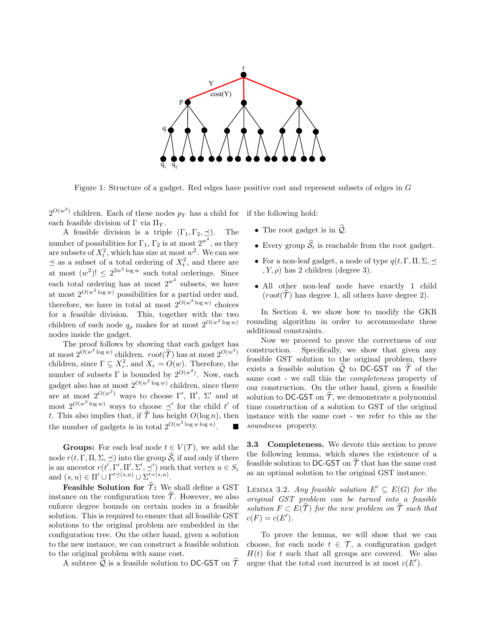

Figure 1: Structure of a gadget. Red edges have positive cost and represent subsets of edges in G

 $2^{O(w^2)}$  children. Each of these nodes  $p_Y$  has a child for each feasible division of  $\Gamma$  via  $\Pi_Y$ . if the following hold:

A feasible division is a triple  $(\Gamma_1, \Gamma_2, \preceq)$ . The number of possibilities for  $\Gamma_1$ ,  $\Gamma_2$  is at most  $2^{w^2}$ , as they are subsets of  $X_t^2$ , which has size at most  $w^2$ . We can see  $\preceq$  as a subset of a total ordering of  $X_t^2$ , and there are at most  $(w^2)! \leq 2^{2w^2 \log w}$  such total orderings. Since each total ordering has at most  $2^{w^2}$  subsets, we have at most  $2^{O(w^2 \log w)}$  possibilities for a partial order and, therefore, we have in total at most  $2^{O(w^2 \log w)}$  choices for a feasible division. This, together with the two children of each node  $q_\rho$  makes for at most  $2^{O(w^2 \log w)}$ nodes inside the gadget.

The proof follows by showing that each gadget has at most  $2^{O(w^2 \log w)}$  children.  $root(\widehat{\mathcal{T}})$  has at most  $2^{O(w^2)}$ children, since  $\Gamma \subseteq X_r^2$ , and  $X_r = O(w)$ . Therefore, the number of subsets  $\Gamma$  is bounded by  $2^{O(w^2)}$ . Now, each gadget also has at most  $2^{O(w^2 \log w)}$  children, since there are at most  $2^{O(w^2)}$  ways to choose  $\Gamma'$ ,  $\Pi'$ ,  $\Sigma'$  and at most  $2^{O(w^2 \log w)}$  ways to choose  $\preceq'$  for the child t' of t. This also implies that, if  $\widehat{\mathcal{T}}$  has height  $O(\log n)$ , then the number of gadgets is in total  $2^{O(w^2 \log w \log n)}$ .

**Groups:** For each leaf node  $t \in V(\mathcal{T})$ , we add the node  $r(t, \Gamma, \Pi, \Sigma, \preceq)$  into the group  $S_i$  if and only if there is an ancestor  $r(t', \Gamma', \Pi', \Sigma', \preceq')$  such that vertex  $u \in S_i$ and  $(s, u) \in \Pi' \cup \Gamma'^{\preceq (s, u)} \cup \Sigma'^{\prec (s, u)}.$ 

**Feasible Solution for**  $\hat{\tau}$ **:** We shall define a GST instance on the configuration tree  $\hat{\mathcal{T}}$ . However, we also enforce degree bounds on certain nodes in a feasible solution. This is required to ensure that all feasible GST solutions to the original problem are embedded in the configuration tree. On the other hand, given a solution to the new instance, we can construct a feasible solution to the original problem with same cost.

A subtree  $\widehat{\mathcal{Q}}$  is a feasible solution to DC-GST on  $\widehat{\mathcal{T}}$ 

- The root gadget is in  $\widehat{\mathcal{Q}}$ .
	- Every group  $S_i$  is reachable from the root gadget.
	- For a non-leaf gadget, a node of type  $q(t, \Gamma, \Pi, \Sigma, \preceq)$  $(Y, \rho)$  has 2 children (degree 3).
	- All other non-leaf node have exactly 1 child  $(root(\hat{\mathcal{T}})$  has degree 1, all others have degree 2).

In Section 4, we show how to modify the GKR rounding algorithm in order to accommodate these additional constraints.

Now we proceed to prove the correctness of our construction. Specifically, we show that given any feasible GST solution to the original problem, there exists a feasible solution  $\mathcal Q$  to DC-GST on  $\mathcal T$  of the same cost - we call this the completeness property of our construction. On the other hand, given a feasible solution to DC-GST on  $\hat{\mathcal{T}}$ , we demonstrate a polynomial time construction of a solution to GST of the original instance with the same cost - we refer to this as the soundness property.

3.3 Completeness. We devote this section to prove the following lemma, which shows the existence of a feasible solution to DC-GST on  $\mathcal T$  that has the same cost as an optimal solution to the original GST instance.

LEMMA 3.2. Any feasible solution  $E' \subseteq E(G)$  for the original GST problem can be turned into a feasible solution  $F \subset E(\hat{\mathcal{T}})$  for the new problem on  $\hat{\mathcal{T}}$  such that  $c(F) = c(E').$ 

To prove the lemma, we will show that we can choose, for each node  $t \in \mathcal{T}$ , a configuration gadget  $H(t)$  for t such that all groups are covered. We also argue that the total cost incurred is at most  $c(E')$ .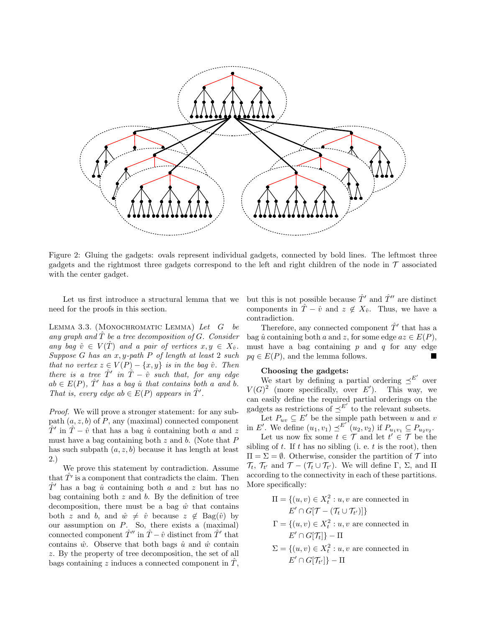

Figure 2: Gluing the gadgets: ovals represent individual gadgets, connected by bold lines. The leftmost three gadgets and the rightmost three gadgets correspond to the left and right children of the node in  $\tau$  associated with the center gadget.

Let us first introduce a structural lemma that we need for the proofs in this section.

LEMMA 3.3. (MONOCHROMATIC LEMMA) Let  $G$  be any graph and  $\hat{T}$  be a tree decomposition of G. Consider any bag  $\hat{v} \in V(\hat{T})$  and a pair of vertices  $x, y \in X_{\hat{v}}$ . Suppose G has an  $x, y$ -path P of length at least 2 such that no vertex  $z \in V(P) - \{x, y\}$  is in the bag  $\hat{v}$ . Then there is a tree  $\hat{T}'$  in  $\hat{T} - \hat{v}$  such that, for any edge  $ab \in E(P)$ ,  $\hat{T}'$  has a bag  $\hat{u}$  that contains both a and b. That is, every edge ab  $\in E(P)$  appears in  $\hat{T}'$ .

Proof. We will prove a stronger statement: for any subpath  $(a, z, b)$  of P, any (maximal) connected component  $\hat{T}'$  in  $\hat{T} - \hat{v}$  that has a bag  $\hat{u}$  containing both a and z must have a bag containing both  $z$  and  $b$ . (Note that  $P$ has such subpath  $(a, z, b)$  because it has length at least 2.)

We prove this statement by contradiction. Assume that  $\hat{T'}$  is a component that contradicts the claim. Then  $\hat{T}'$  has a bag  $\hat{u}$  containing both a and z but has no bag containing both  $z$  and  $b$ . By the definition of tree decomposition, there must be a bag  $\hat{w}$  that contains both z and b, and  $\hat{w} \neq \hat{v}$  because  $z \notin \text{Bag}(\hat{v})$  by our assumption on  $P$ . So, there exists a (maximal) connected component  $\hat{T}''$  in  $\hat{T} - \hat{v}$  distinct from  $\hat{T}'$  that contains  $\hat{w}$ . Observe that both bags  $\hat{u}$  and  $\hat{w}$  contain z. By the property of tree decomposition, the set of all bags containing z induces a connected component in  $\tilde{T}$ ,

but this is not possible because  $\hat{T}'$  and  $\hat{T}''$  are distinct components in  $\hat{T} - \hat{v}$  and  $z \notin X_{\hat{v}}$ . Thus, we have a contradiction.

Therefore, any connected component  $\hat{T}'$  that has a bag  $\hat{u}$  containing both a and z, for some edge  $az \in E(P)$ , must have a bag containing  $p$  and  $q$  for any edge  $pq \in E(P)$ , and the lemma follows.

# Choosing the gadgets:

We start by defining a partial ordering  $\preceq^{E'}$  over  $V(G)^2$  (more specifically, over E'). This way, we can easily define the required partial orderings on the gadgets as restrictions of  $\preceq^{E'}$  to the relevant subsets.

Let  $P_{uv} \subseteq E'$  be the simple path between u and v in E'. We define  $(u_1, v_1) \preceq^{E'} (u_2, v_2)$  if  $P_{u_1v_1} \subseteq P_{u_2v_2}$ .

Let us now fix some  $t \in \mathcal{T}$  and let  $t' \in \mathcal{T}$  be the sibling of  $t$ . If  $t$  has no sibling (i. e.  $t$  is the root), then  $\Pi = \Sigma = \emptyset$ . Otherwise, consider the partition of  $\mathcal T$  into  $\mathcal{T}_t$ ,  $\mathcal{T}_{t'}$  and  $\mathcal{T} - (\mathcal{T}_t \cup \mathcal{T}_{t'})$ . We will define  $\Gamma$ ,  $\Sigma$ , and  $\Pi$ according to the connectivity in each of these partitions. More specifically:

$$
\Pi = \{(u, v) \in X_t^2 : u, v \text{ are connected in}
$$

$$
E' \cap G[\mathcal{T} - (\mathcal{T}_t \cup \mathcal{T}_{t'})]\}
$$

$$
\Gamma = \{(u, v) \in X_t^2 : u, v \text{ are connected in}
$$

$$
E' \cap G[\mathcal{T}_t]\} - \Pi
$$

 $\Sigma = \{(u, v) \in X_t^2 : u, v \text{ are connected in }\}$  $E' \cap G[\mathcal{T}_{t'}]\}-\Pi$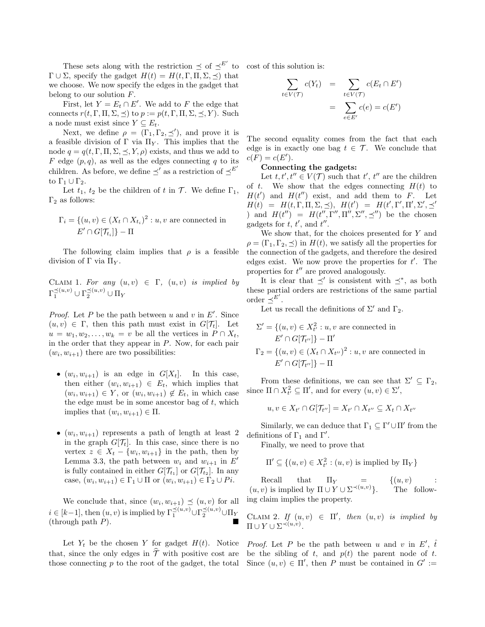These sets along with the restriction  $\preceq$  of  $\preceq^{E'}$  to  $\Gamma \cup \Sigma$ , specify the gadget  $H(t) = H(t, \Gamma, \Pi, \Sigma, \preceq)$  that we choose. We now specify the edges in the gadget that belong to our solution  $F$ .

First, let  $Y = E_t \cap E'$ . We add to F the edge that connects  $r(t, \Gamma, \Pi, \Sigma, \preceq)$  to  $p := p(t, \Gamma, \Pi, \Sigma, \preceq, Y)$ . Such a node must exist since  $Y \subseteq E_t$ .

Next, we define  $\rho = (\Gamma_1, \Gamma_2, \preceq')$ , and prove it is a feasible division of  $\Gamma$  via  $\Pi_Y$ . This implies that the node  $q = q(t, \Gamma, \Pi, \Sigma, \preceq, Y, \rho)$  exists, and thus we add to F edge  $(p, q)$ , as well as the edges connecting q to its children. As before, we define  $\preceq'$  as a restriction of  $\preceq^{E'}$ to  $\Gamma_1 \cup \Gamma_2$ .

Let  $t_1$ ,  $t_2$  be the children of t in  $\mathcal T$ . We define  $\Gamma_1$ ,  $\Gamma_2$  as follows:

$$
\Gamma_i = \{(u, v) \in (X_t \cap X_{t_i})^2 : u, v \text{ are connected in}
$$
  

$$
E' \cap G[\mathcal{T}_{t_i}] \} - \Pi
$$

The following claim implies that  $\rho$  is a feasible division of Γ via  $\Pi_Y$ .

CLAIM 1. For any  $(u, v) \in \Gamma$ ,  $(u, v)$  is implied by  $\Gamma_1^{\preceq (u,v)} \cup \Gamma_2^{\preceq (u,v)} \cup \Pi_Y$ 

*Proof.* Let P be the path between u and v in  $E'$ . Since  $(u, v) \in \Gamma$ , then this path must exist in  $G[\mathcal{T}_t]$ . Let  $u = w_1, w_2, \ldots, w_k = v$  be all the vertices in  $P \cap X_t$ , in the order that they appear in  $P$ . Now, for each pair  $(w_i, w_{i+1})$  there are two possibilities:

- $(w_i, w_{i+1})$  is an edge in  $G[X_t]$ . In this case, then either  $(w_i, w_{i+1}) \in E_t$ , which implies that  $(w_i, w_{i+1}) \in Y$ , or  $(w_i, w_{i+1}) \notin E_t$ , in which case the edge must be in some ancestor bag of  $t$ , which implies that  $(w_i, w_{i+1}) \in \Pi$ .
- $(w_i, w_{i+1})$  represents a path of length at least 2 in the graph  $G[\mathcal{T}_t]$ . In this case, since there is no vertex  $z \in X_t - \{w_i, w_{i+1}\}\$ in the path, then by Lemma 3.3, the path between  $w_i$  and  $w_{i+1}$  in  $E'$ is fully contained in either  $G[\mathcal{T}_{t_1}]$  or  $G[\mathcal{T}_{t_2}]$ . In any case,  $(w_i, w_{i+1}) \in \Gamma_1 \cup \Pi$  or  $(w_i, w_{i+1}) \in \Gamma_2 \cup Pi$ .

We conclude that, since  $(w_i, w_{i+1}) \preceq (u, v)$  for all  $i \in [k-1]$ , then  $(u, v)$  is implied by  $\Gamma_1^{\preceq (u, v)} \cup \Gamma_2^{\preceq (u, v)} \cup \Pi_Y$ (through path  $P$ ).

Let  $Y_t$  be the chosen Y for gadget  $H(t)$ . Notice that, since the only edges in  $\hat{\mathcal{T}}$  with positive cost are those connecting  $p$  to the root of the gadget, the total

cost of this solution is:

$$
\sum_{t \in V(\mathcal{T})} c(Y_t) = \sum_{t \in V(\mathcal{T})} c(E_t \cap E')
$$

$$
= \sum_{e \in E'} c(e) = c(E')
$$

The second equality comes from the fact that each edge is in exactly one bag  $t \in \mathcal{T}$ . We conclude that  $c(F) = c(E').$ 

# Connecting the gadgets:

Let  $t, t', t'' \in V(\mathcal{T})$  such that  $t', t''$  are the children of t. We show that the edges connecting  $H(t)$  to  $H(t')$  and  $H(t'')$  exist, and add them to F. Let  $H(t) = H(t, \Gamma, \Pi, \Sigma, \preceq), H(t') = H(t', \Gamma', \Pi', \Sigma', \preceq')$ ) and  $H(t'') = H(t'', \Gamma'', \Pi'', \Sigma'', \preceq'')$  be the chosen gadgets for  $t, t'$ , and  $t''$ .

We show that, for the choices presented for Y and  $\rho = (\Gamma_1, \Gamma_2, \preceq)$  in  $H(t)$ , we satisfy all the properties for the connection of the gadgets, and therefore the desired edges exist. We now prove the properties for  $t'$ . The properties for  $t''$  are proved analogously.

It is clear that  $\preceq'$  is consistent with  $\preceq^*$ , as both these partial orders are restrictions of the same partial order  $\preceq^{E'}$ .

Let us recall the definitions of  $\Sigma'$  and  $\Gamma_2$ .

$$
\Sigma' = \{(u, v) \in X_{t'}^2 : u, v \text{ are connected in}
$$

$$
E' \cap G[\mathcal{T}_{t''}]\} - \Pi'
$$

$$
\Gamma_2 = \{(u, v) \in (X_t \cap X_{t''})^2 : u, v \text{ are connected in}
$$

$$
E' \cap G[\mathcal{T}_{t''}]\} - \Pi
$$

From these definitions, we can see that  $\Sigma' \subseteq \Gamma_2$ , since  $\Pi \cap X_{t'}^2 \subseteq \Pi'$ , and for every  $(u, v) \in \Sigma'$ ,

$$
u, v \in X_{t'} \cap G[\mathcal{T}_{t''}] = X_{t'} \cap X_{t''} \subseteq X_t \cap X_{t''}
$$

Similarly, we can deduce that  $\Gamma_1 \subseteq \Gamma' \cup \Pi'$  from the definitions of  $\Gamma_1$  and  $\Gamma'$ .

Finally, we need to prove that

$$
\Pi' \subseteq \{(u, v) \in X_{t'}^2 : (u, v) \text{ is implied by } \Pi_Y\}
$$

Recall that  $\Pi_Y = \{(u, v) :$  $(u, v)$  is implied by  $\Pi \cup Y \cup \Sigma^{\prec (u, v)}$ The following claim implies the property.

CLAIM 2. If  $(u, v) \in \Pi'$ , then  $(u, v)$  is implied by  $\Pi \cup Y \cup \Sigma^{\prec (u,v)}.$ 

*Proof.* Let P be the path between u and v in E',  $\hat{t}$ be the sibling of t, and  $p(t)$  the parent node of t. Since  $(u, v) \in \Pi'$ , then P must be contained in  $G' :=$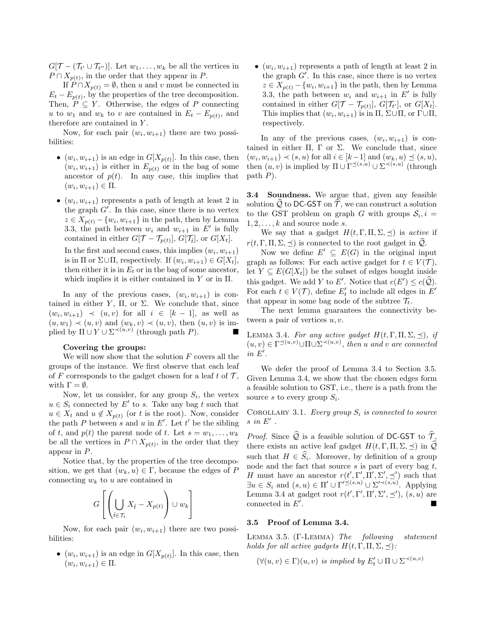$G[\mathcal{T} - (\mathcal{T}_{t'} \cup \mathcal{T}_{t''})]$ . Let  $w_1, \ldots, w_k$  be all the vertices in  $P \cap X_{p(t)}$ , in the order that they appear in P.

If  $P \cap X_{p(t)} = \emptyset$ , then u and v must be connected in  $E_t - E_{p(t)}$ , by the properties of the tree decomposition. Then,  $P \subseteq Y$ . Otherwise, the edges of P connecting u to  $w_1$  and  $w_k$  to v are contained in  $E_t - E_{p(t)}$ , and therefore are contained in Y .

Now, for each pair  $(w_i, w_{i+1})$  there are two possibilities:

- $(w_i, w_{i+1})$  is an edge in  $G[X_{p(t)}]$ . In this case, then  $(w_i, w_{i+1})$  is either in  $E_{p(t)}$  or in the bag of some ancestor of  $p(t)$ . In any case, this implies that  $(w_i, w_{i+1}) \in \Pi.$
- $(w_i, w_{i+1})$  represents a path of length at least 2 in the graph  $G'$ . In this case, since there is no vertex  $z \in X_{p(t)} - \{w_i, w_{i+1}\}\$ in the path, then by Lemma 3.3, the path between  $w_i$  and  $w_{i+1}$  in E' is fully contained in either  $G[\mathcal{T}-\mathcal{T}_{p(t)}], G[\mathcal{T}_t],$  or  $G[X_t]$ . In the first and second cases, this implies  $(w_i, w_{i+1})$ is in  $\Pi$  or  $\Sigma \cup \Pi$ , respectively. If  $(w_i, w_{i+1}) \in G[X_t]$ , then either it is in  $E_t$  or in the bag of some ancestor,

which implies it is either contained in  $Y$  or in  $\Pi$ .

In any of the previous cases,  $(w_i, w_{i+1})$  is contained in either Y,  $\Pi$ , or  $\Sigma$ . We conclude that, since  $(w_i, w_{i+1}) \prec (u, v)$  for all  $i \in [k-1]$ , as well as  $(u, w_1) \prec (u, v)$  and  $(w_k, v) \prec (u, v)$ , then  $(u, v)$  is implied by  $\Pi \cup Y \cup \Sigma^{\prec (u,v)}$  (through path P).

### Covering the groups:

We will now show that the solution  $F$  covers all the groups of the instance. We first observe that each leaf of F corresponds to the gadget chosen for a leaf t of  $\mathcal{T}$ , with  $\Gamma = \emptyset$ .

Now, let us consider, for any group  $S_i$ , the vertex  $u \in S_i$  connected by  $E'$  to s. Take any bag t such that  $u \in X_t$  and  $u \notin X_{p(t)}$  (or t is the root). Now, consider the path P between s and u in E'. Let t' be the sibling of t, and  $p(t)$  the parent node of t. Let  $s = w_1, \ldots, w_k$ be all the vertices in  $P \cap X_{p(t)}$ , in the order that they appear in P.

Notice that, by the properties of the tree decomposition, we get that  $(w_k, u) \in \Gamma$ , because the edges of P connecting  $w_k$  to u are contained in

$$
G\left[\left(\bigcup_{\hat{t}\in\mathcal{T}_t}X_{\hat{t}}-X_{p(t)}\right)\cup w_k\right]
$$

Now, for each pair  $(w_i, w_{i+1})$  there are two possibilities:

•  $(w_i, w_{i+1})$  is an edge in  $G[X_{p(t)}]$ . In this case, then  $(w_i, w_{i+1}) \in \Pi.$ 

•  $(w_i, w_{i+1})$  represents a path of length at least 2 in the graph  $G'$ . In this case, since there is no vertex  $z \in X_{p(t)} - \{w_i, w_{i+1}\}\$ in the path, then by Lemma 3.3, the path between  $w_i$  and  $w_{i+1}$  in  $E'$  is fully contained in either  $G[\mathcal{T}-\mathcal{T}_{p(t)}], G[\mathcal{T}_{t'}],$  or  $G[X_t].$ This implies that  $(w_i, w_{i+1})$  is in  $\Pi$ ,  $\Sigma \cup \Pi$ , or  $\Gamma \cup \Pi$ , respectively.

In any of the previous cases,  $(w_i, w_{i+1})$  is contained in either  $\Pi$ ,  $\Gamma$  or  $\Sigma$ . We conclude that, since  $(w_i, w_{i+1}) \prec (s, u)$  for all  $i \in [k-1]$  and  $(w_k, u) \preceq (s, u)$ , then  $(u, v)$  is implied by  $\Pi \cup \Gamma^{\preceq (s, u)} \cup \Sigma^{\prec (s, u)}$  (through path P).

3.4 Soundness. We argue that, given any feasible solution  $\widehat{Q}$  to DC-GST on  $\widehat{T}$ , we can construct a solution to the GST problem on graph G with groups  $S_i, i =$  $1, 2, \ldots, k$  and source node s.

We say that a gadget  $H(t, \Gamma, \Pi, \Sigma, \preceq)$  is *active* if  $r(t, \Gamma, \Pi, \Sigma, \preceq)$  is connected to the root gadget in  $\mathcal{Q}$ .

Now we define  $E' \subseteq E(G)$  in the original input graph as follows: For each active gadget for  $t \in V(\mathcal{T})$ , let  $Y \subseteq E(G[X_t])$  be the subset of edges bought inside this gadget. We add Y to E'. Notice that  $c(E') \leq c(\hat{Q})$ . For each  $t \in V(\mathcal{T})$ , define  $E'_t$  to include all edges in  $E'$ that appear in some bag node of the subtree  $\mathcal{T}_t$ .

The next lemma guarantees the connectivity between a pair of vertices  $u, v$ .

LEMMA 3.4. For any active gadget  $H(t, \Gamma, \Pi, \Sigma, \preceq)$ , if  $(u, v) \in \Gamma^{\preceq (u, v)} \cup \Pi \cup \Sigma^{\prec (u, v)}$ , then u and v are connected in  $E'$ .

We defer the proof of Lemma 3.4 to Section 3.5. Given Lemma 3.4, we show that the chosen edges form a feasible solution to GST, i.e., there is a path from the source s to every group  $S_i$ .

COROLLARY 3.1. Every group  $S_i$  is connected to source  $s$  in  $E'$ .

*Proof.* Since  $\widehat{Q}$  is a feasible solution of DC-GST to  $\widehat{T}$ , there exists an active leaf gadget  $H(t, \Gamma, \Pi, \Sigma, \preceq)$  in  $\widehat{Q}$ such that  $H \in S_i$ . Moreover, by definition of a group node and the fact that source  $s$  is part of every bag  $t$ , H must have an ancestor  $r(t', \Gamma', \Pi', \Sigma', \preceq')$  such that  $\exists u \in S_i \text{ and } (s, u) \in \Pi' \cup \Gamma'^{\preceq (s, u)} \cup \Sigma'^{\prec (s, u)}$ . Applying Lemma 3.4 at gadget root  $r(t', \Gamma', \Pi', \Sigma', \preceq'), (s, u)$  are connected in  $E'$ .

## 3.5 Proof of Lemma 3.4.

Lemma 3.5. (Γ-Lemma) The following statement holds for all active gadgets  $H(t, \Gamma, \Pi, \Sigma, \preceq)$ :

 $(\forall (u, v) \in \Gamma)(u, v)$  is implied by  $E'_t \cup \Pi \cup \Sigma^{\prec (u, v)}$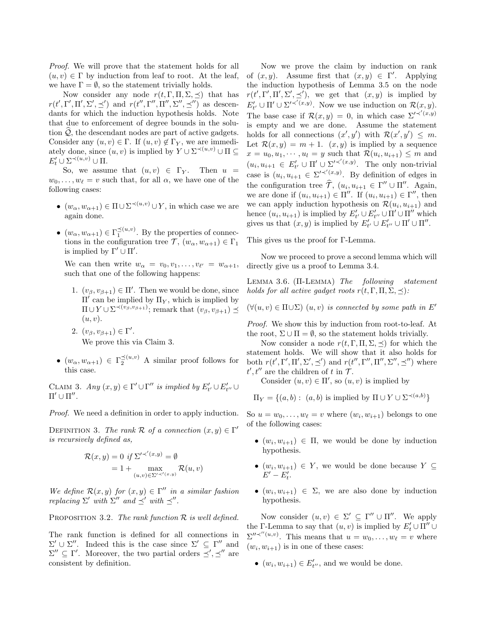Proof. We will prove that the statement holds for all  $(u, v) \in \Gamma$  by induction from leaf to root. At the leaf, we have  $\Gamma = \emptyset$ , so the statement trivially holds.

Now consider any node  $r(t, \Gamma, \Pi, \Sigma, \preceq)$  that has  $r(t', \Gamma', \Pi', \Sigma', \preceq')$  and  $r(t'', \Gamma'', \Pi'', \Sigma'', \preceq'')$  as descendants for which the induction hypothesis holds. Note that due to enforcement of degree bounds in the solution  $\mathcal{Q}$ , the descendant nodes are part of active gadgets. Consider any  $(u, v) \in \Gamma$ . If  $(u, v) \notin \Gamma_Y$ , we are immediately done, since  $(u, v)$  is implied by  $Y \cup \Sigma^{\prec (u, v)} \cup \Pi \subseteq$  $E'_t \cup \Sigma^{\prec (u,v)} \cup \Pi.$ 

So, we assume that  $(u, v) \in \Gamma_Y$ . Then  $u =$  $w_0, \ldots, w_\ell = v$  such that, for all  $\alpha$ , we have one of the following cases:

- $(w_{\alpha}, w_{\alpha+1}) \in \Pi \cup \Sigma^{\prec (u,v)} \cup Y$ , in which case we are again done.
- $(w_\alpha, w_{\alpha+1}) \in \Gamma_1^{\preceq (u,v)}$ . By the properties of connections in the configuration tree  $\mathcal{T}, (w_{\alpha}, w_{\alpha+1}) \in \Gamma_1$ is implied by  $\Gamma' \cup \Pi'$ .

We can then write  $w_{\alpha} = v_0, v_1, \ldots, v_{\ell'} = w_{\alpha+1},$ such that one of the following happens:

- 1.  $(v_{\beta}, v_{\beta+1}) \in \Pi'$ . Then we would be done, since  $\Pi'$  can be implied by  $\Pi_Y$ , which is implied by  $\Pi \cup Y \cup \Sigma^{\prec (v_\beta, v_{\beta+1})}$ ; remark that  $(v_\beta, v_{\beta+1}) \preceq$  $(u, v)$ .
- 2.  $(v_{\beta}, v_{\beta+1}) \in \Gamma'.$ We prove this via Claim 3.
- $(w_\alpha, w_{\alpha+1}) \in \Gamma_2^{\preceq (u,v)}$  A similar proof follows for this case.

CLAIM 3. Any  $(x, y) \in \Gamma' \cup \Gamma''$  is implied by  $E'_{t'} \cup E'_{t''} \cup$  $\Pi' \cup \Pi''$ .

Proof. We need a definition in order to apply induction.

DEFINITION 3. The rank R of a connection  $(x, y) \in \Gamma'$ is recursively defined as,

$$
\mathcal{R}(x, y) = 0 \text{ if } \Sigma'^{\prec'(x, y)} = \emptyset
$$
  
= 1 + \max<sub>(u, v) \in \Sigma'^{\prec'(x, y)}} \mathcal{R}(u, v)</sub>

We define  $\mathcal{R}(x, y)$  for  $(x, y) \in \Gamma''$  in a similar fashion replacing  $\Sigma'$  with  $\Sigma''$  and  $\preceq'$  with  $\preceq''$ .

PROPOSITION 3.2. The rank function  $R$  is well defined.

The rank function is defined for all connections in  $\Sigma' \cup \Sigma''$ . Indeed this is the case since  $\Sigma' \subseteq \Gamma''$  and  $\Sigma'' \subseteq \Gamma'$ . Moreover, the two partial orders  $\preceq', \preceq''$  are consistent by definition.

Now we prove the claim by induction on rank of  $(x, y)$ . Assume first that  $(x, y) \in \Gamma'$ . Applying the induction hypothesis of Lemma 3.5 on the node  $r(t', \Gamma', \Pi', \Sigma', \preceq'),$  we get that  $(x, y)$  is implied by  $E'_{t'} \cup \Pi' \cup \Sigma'^{\prec'(x,y)}$ . Now we use induction on  $\mathcal{R}(x,y)$ . The base case if  $\mathcal{R}(x,y) = 0$ , in which case  $\sum^{1} \zeta'(x,y)$ is empty and we are done. Assume the statement holds for all connections  $(x', y')$  with  $\mathcal{R}(x', y') \leq m$ . Let  $\mathcal{R}(x, y) = m + 1$ .  $(x, y)$  is implied by a sequence  $x = u_0, u_1, \dots, u_l = y$  such that  $\mathcal{R}(u_i, u_{i+1}) \leq m$  and  $(u_i, u_{i+1} \in E'_{t'} \cup \Pi' \cup \Sigma'^{\prec'(x,y)}$ . The only non-trivial case is  $(u_i, u_{i+1} \in \Sigma'^{\prec'(x,y)}$ . By definition of edges in the configuration tree  $\hat{\mathcal{T}}$ ,  $(u_i, u_{i+1} \in \Gamma'' \cup \Pi''$ . Again, we are done if  $(u_i, u_{i+1}) \in \Pi''$ . If  $(u_i, u_{i+1}) \in \Gamma''$ , then we can apply induction hypothesis on  $\mathcal{R}(u_i, u_{i+1})$  and hence  $(u_i, u_{i+1})$  is implied by  $E'_{t'} \cup E'_{t''} \cup \Pi' \cup \Pi''$  which gives us that  $(x, y)$  is implied by  $E'_{t'} \cup E'_{t''} \cup \Pi' \cup \Pi''$ .

This gives us the proof for Γ-Lemma.

Now we proceed to prove a second lemma which will directly give us a proof to Lemma 3.4.

LEMMA 3.6.  $(\Pi$ -LEMMA) The following statement holds for all active gadget roots  $r(t, \Gamma, \Pi, \Sigma, \prec)$ :

 $(\forall (u, v) \in \Pi \cup \Sigma)$   $(u, v)$  is connected by some path in E'

Proof. We show this by induction from root-to-leaf. At the root,  $\Sigma \cup \Pi = \emptyset$ , so the statement holds trivially.

Now consider a node  $r(t, \Gamma, \Pi, \Sigma, \preceq)$  for which the statement holds. We will show that it also holds for both  $r(t', \Gamma', \Pi', \Sigma', \preceq')$  and  $r(t'', \Gamma'', \Pi'', \Sigma'', \preceq'')$  where  $t', t''$  are the children of t in  $\mathcal{T}$ .

Consider  $(u, v) \in \Pi'$ , so  $(u, v)$  is implied by

$$
\Pi_Y = \{(a, b): (a, b) \text{ is implied by } \Pi \cup Y \cup \Sigma^{\prec (a, b)}\}
$$

So  $u = w_0, \ldots, w_\ell = v$  where  $(w_i, w_{i+1})$  belongs to one of the following cases:

- $(w_i, w_{i+1}) \in \Pi$ , we would be done by induction hypothesis.
- $(w_i, w_{i+1}) \in Y$ , we would be done because  $Y \subseteq$  $E'-E'_t.$
- $(w_i, w_{i+1}) \in \Sigma$ , we are also done by induction hypothesis.

Now consider  $(u, v) \in \Sigma' \subseteq \Gamma'' \cup \Pi''$ . We apply the Γ-Lemma to say that  $(u, v)$  is implied by  $E'_t \cup \overline{\Pi''} \cup$  $\sum^{\prime\prime} \prec^{\prime\prime}(u,v)$ . This means that  $u = w_0, \ldots, w_\ell = v$  where  $(w_i, w_{i+1})$  is in one of these cases:

•  $(w_i, w_{i+1}) \in E'_{t''}$ , and we would be done.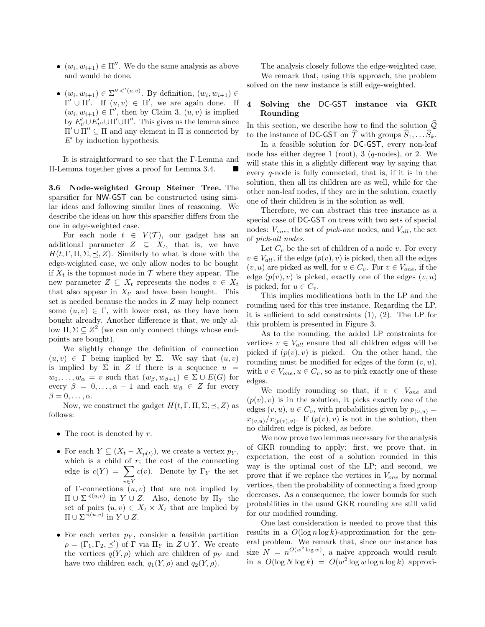- $\bullet$   $(w_i, w_{i+1}) \in \Pi''$ . We do the same analysis as above and would be done.
- $(w_i, w_{i+1}) \in \Sigma''^{\prec''(u,v)}$ . By definition,  $(w_i, w_{i+1}) \in$  $\Gamma' \cup \Pi'$ . If  $(u, v) \in \Pi'$ , we are again done. If  $(w_i, w_{i+1}) \in \Gamma'$ , then by Claim 3,  $(u, v)$  is implied by  $E'_{t'} \cup E'_{t''} \cup \Pi' \cup \Pi''$ . This gives us the lemma since  $\Pi' \cup \overline{\Pi''} \subseteq \Pi$  and any element in  $\Pi$  is connected by  $E'$  by induction hypothesis.

It is straightforward to see that the Γ-Lemma and Π-Lemma together gives a proof for Lemma 3.4.

3.6 Node-weighted Group Steiner Tree. The sparsifier for NW-GST can be constructed using similar ideas and following similar lines of reasoning. We describe the ideas on how this sparsifier differs from the one in edge-weighted case.

For each node  $t \in V(\mathcal{T})$ , our gadget has an additional parameter  $Z \subseteq X_t$ , that is, we have  $H(t, \Gamma, \Pi, \Sigma, \preceq, Z)$ . Similarly to what is done with the edge-weighted case, we only allow nodes to be bought if  $X_t$  is the topmost node in  $\mathcal T$  where they appear. The new parameter  $Z \subseteq X_t$  represents the nodes  $v \in X_t$ that also appear in  $X_{t'}$  and have been bought. This set is needed because the nodes in Z may help connect some  $(u, v) \in \Gamma$ , with lower cost, as they have been bought already. Another difference is that, we only allow  $\Pi, \Sigma \subseteq Z^2$  (we can only connect things whose endpoints are bought).

We slightly change the definition of connection  $(u, v) \in \Gamma$  being implied by  $\Sigma$ . We say that  $(u, v)$ is implied by  $\Sigma$  in Z if there is a sequence  $u =$  $w_0, \ldots, w_\alpha = v$  such that  $(w_\beta, w_{\beta+1}) \in \Sigma \cup E(G)$  for every  $\beta = 0, \ldots, \alpha - 1$  and each  $w_{\beta} \in Z$  for every  $\beta = 0, \ldots, \alpha.$ 

Now, we construct the gadget  $H(t, \Gamma, \Pi, \Sigma, \preceq, Z)$  as follows:

- The root is denoted by  $r$ .
- For each  $Y \subseteq (X_t X_{p(t)})$ , we create a vertex  $p_Y$ , which is a child of  $r$ ; the cost of the connecting edge is  $c(Y) = \sum$ v∈Y  $c(v)$ . Denote by  $\Gamma_Y$  the set of  $\Gamma$ -connections  $(u, v)$  that are not implied by  $\Pi \cup \Sigma^{\prec (u,v)}$  in  $Y \cup Z$ . Also, denote by  $\Pi_Y$  the set of pairs  $(u, v) \in X_t \times X_t$  that are implied by  $\Pi \cup \Sigma^{\prec (u,v)}$  in  $Y \cup Z$ .
- For each vertex  $p<sub>Y</sub>$ , consider a feasible partition  $\rho = (\Gamma_1, \Gamma_2, \preceq')$  of  $\Gamma$  via  $\Pi_Y$  in  $Z \cup Y$ . We create the vertices  $q(Y, \rho)$  which are children of  $p_Y$  and have two children each,  $q_1(Y, \rho)$  and  $q_2(Y, \rho)$ .

The analysis closely follows the edge-weighted case. We remark that, using this approach, the problem solved on the new instance is still edge-weighted.

# 4 Solving the DC-GST instance via GKR Rounding

In this section, we describe how to find the solution  $\widehat{\mathcal{Q}}$ to the instance of DC-GST on  $\widehat{\mathcal{T}}$  with groups  $\widehat{S}_1, \ldots \widehat{S}_k$ .

In a feasible solution for DC-GST, every non-leaf node has either degree 1 (root), 3 ( $q$ -nodes), or 2. We will state this in a slightly different way by saying that every  $q$ -node is fully connected, that is, if it is in the solution, then all its children are as well, while for the other non-leaf nodes, if they are in the solution, exactly one of their children is in the solution as well.

Therefore, we can abstract this tree instance as a special case of DC-GST on trees with two sets of special nodes:  $V_{one}$ , the set of *pick-one* nodes, and  $V_{all}$ , the set of pick-all nodes.

Let  $C_v$  be the set of children of a node v. For every  $v \in V_{all}$ , if the edge  $(p(v), v)$  is picked, then all the edges  $(v, u)$  are picked as well, for  $u \in C_v$ . For  $v \in V_{one}$ , if the edge  $(p(v), v)$  is picked, exactly one of the edges  $(v, u)$ is picked, for  $u \in C_v$ .

This implies modifications both in the LP and the rounding used for this tree instance. Regarding the LP, it is sufficient to add constraints (1), (2). The LP for this problem is presented in Figure 3.

As to the rounding, the added LP constraints for vertices  $v \in V_{all}$  ensure that all children edges will be picked if  $(p(v), v)$  is picked. On the other hand, the rounding must be modified for edges of the form  $(v, u)$ , with  $v \in V_{one}$ ,  $u \in C_v$ , so as to pick exactly one of these edges.

We modify rounding so that, if  $v \in V_{one}$  and  $(p(v), v)$  is in the solution, it picks exactly one of the edges  $(v, u)$ ,  $u \in C_v$ , with probabilities given by  $p_{(v, u)} =$  $x_{(v,u)}/x_{(p(v),v)}$ . If  $(p(v), v)$  is not in the solution, then no children edge is picked, as before.

We now prove two lemmas necessary for the analysis of GKR rounding to apply: first, we prove that, in expectation, the cost of a solution rounded in this way is the optimal cost of the LP; and second, we prove that if we replace the vertices in  $V_{one}$  by normal vertices, then the probability of connecting a fixed group decreases. As a consequence, the lower bounds for such probabilities in the usual GKR rounding are still valid for our modified rounding.

One last consideration is needed to prove that this results in a  $O(\log n \log k)$ -approximation for the general problem. We remark that, since our instance has size  $N = n^{O(w^2 \log w)}$ , a naive approach would result in a  $O(\log N \log k) = O(w^2 \log w \log n \log k)$  approxi-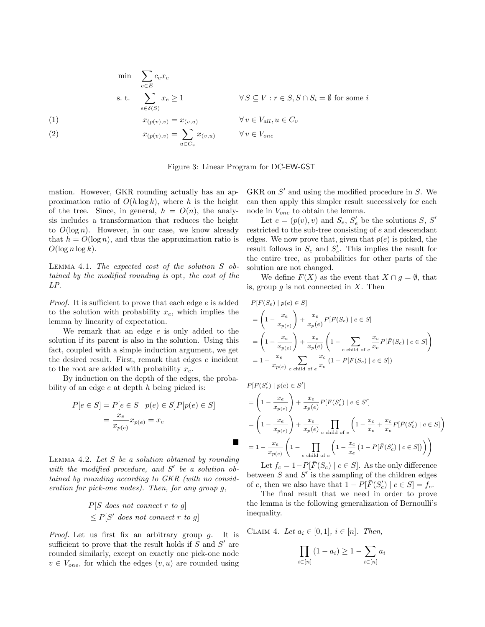$$
\min \sum_{e \in E} c_e x_e
$$
\n
$$
\text{s. t.} \sum_{e \in \delta(S)} x_e \ge 1 \qquad \forall S \subseteq V : r \in S, S \cap S_i = \emptyset \text{ for some } i
$$
\n
$$
(1) \qquad x_{(p(v),v)} = x_{(v,u)} \qquad \forall v \in V_{all}, u \in C_v
$$

(2) 
$$
x_{(p(v),v)} = \sum_{u \in C_v} x_{(v,u)} \qquad \forall v \in V_{one}
$$

Figure 3: Linear Program for DC-EW-GST

mation. However, GKR rounding actually has an approximation ratio of  $O(h \log k)$ , where h is the height of the tree. Since, in general,  $h = O(n)$ , the analysis includes a transformation that reduces the height to  $O(\log n)$ . However, in our case, we know already that  $h = O(\log n)$ , and thus the approximation ratio is  $O(\log n \log k)$ .

Lemma 4.1. The expected cost of the solution S obtained by the modified rounding is opt, the cost of the LP.

Proof. It is sufficient to prove that each edge e is added to the solution with probability  $x_e$ , which implies the lemma by linearity of expectation.

We remark that an edge  $e$  is only added to the solution if its parent is also in the solution. Using this fact, coupled with a simple induction argument, we get the desired result. First, remark that edges e incident to the root are added with probability  $x_e$ .

By induction on the depth of the edges, the probability of an edge  $e$  at depth  $h$  being picked is:

$$
P[e \in S] = P[e \in S \mid p(e) \in S]P[p(e) \in S]
$$

$$
= \frac{x_e}{x_{p(e)}} x_{p(e)} = x_e
$$

LEMMA 4.2. Let  $S$  be a solution obtained by rounding with the modified procedure, and  $S'$  be a solution obtained by rounding according to GKR (with no consideration for pick-one nodes). Then, for any group g,

$$
P[S \text{ does not connect } r \text{ to } g]
$$
  

$$
\leq P[S' \text{ does not connect } r \text{ to } g]
$$

Proof. Let us first fix an arbitrary group q. It is sufficient to prove that the result holds if  $S$  and  $S'$  are rounded similarly, except on exactly one pick-one node  $v \in V_{one}$ , for which the edges  $(v, u)$  are rounded using

GKR on  $S'$  and using the modified procedure in  $S$ . We can then apply this simpler result successively for each node in  $V_{one}$  to obtain the lemma.

Let  $e = (p(v), v)$  and  $S_e, S'_e$  be the solutions S, S' restricted to the sub-tree consisting of e and descendant edges. We now prove that, given that  $p(e)$  is picked, the result follows in  $S_e$  and  $S'_e$ . This implies the result for the entire tree, as probabilities for other parts of the solution are not changed.

We define  $F(X)$  as the event that  $X \cap g = \emptyset$ , that is, group  $q$  is not connected in  $X$ . Then

$$
P[F(S_e) | p(e) \in S]
$$
  
=  $\left(1 - \frac{x_e}{x_{p(e)}}\right) + \frac{x_e}{x_p(e)} P[F(S_e) | e \in S]$   
=  $\left(1 - \frac{x_e}{x_{p(e)}}\right) + \frac{x_e}{x_p(e)} \left(1 - \sum_{c \text{ child of } e} \frac{x_c}{x_e} P[\bar{F}(S_c) | c \in S]\right)$   
=  $1 - \frac{x_e}{x_{p(e)}} \sum_{c \text{ child of } e} \frac{x_c}{x_e} (1 - P[F(S_c) | c \in S])$ 

 $P[F(S'_{e}) | p(e) \in S']$ 

 $\blacksquare$ 

$$
= \left(1 - \frac{x_e}{x_{p(e)}}\right) + \frac{x_e}{x_p(e)} P[F(S'_e) | e \in S']
$$
  
\n
$$
= \left(1 - \frac{x_e}{x_{p(e)}}\right) + \frac{x_e}{x_p(e)} \prod_{c \text{ child of } e} \left(1 - \frac{x_c}{x_e} + \frac{x_c}{x_e} P[\bar{F}(S'_c) | c \in S]\right)
$$
  
\n
$$
= 1 - \frac{x_e}{x_{p(e)}} \left(1 - \prod_{\substack{c \text{ child of } e}} \left(1 - \frac{x_c}{x_e} \left(1 - P[\bar{F}(S'_c) | c \in S]\right)\right)\right)
$$

Let  $f_c = 1-P[\bar{F}(S_c) | c \in S]$ . As the only difference between  $S$  and  $S'$  is the sampling of the children edges of e, then we also have that  $1 - P[\bar{F}(S_c')]$   $c \in S$  =  $\tilde{f}_c$ .

The final result that we need in order to prove the lemma is the following generalization of Bernoulli's inequality.

CLAIM 4. Let  $a_i \in [0,1], i \in [n]$ . Then,

 $\dot{i}$ 

$$
\prod_{i \in [n]} (1 - a_i) \ge 1 - \sum_{i \in [n]} a_i
$$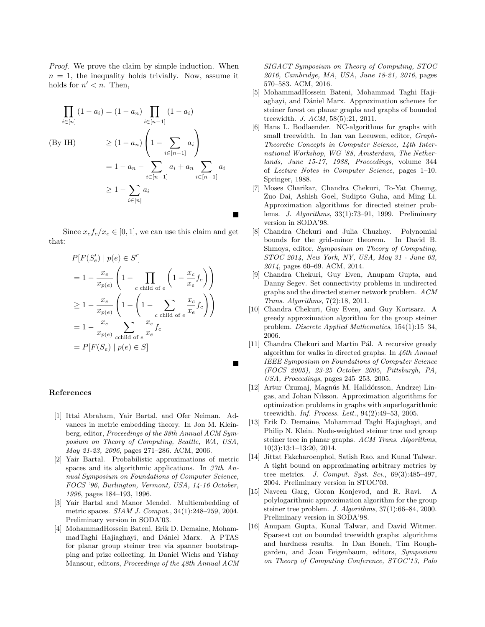Proof. We prove the claim by simple induction. When  $n = 1$ , the inequality holds trivially. Now, assume it holds for  $n' < n$ . Then,

$$
\prod_{i \in [n]} (1 - a_i) = (1 - a_n) \prod_{i \in [n-1]} (1 - a_i)
$$
\n
$$
(By IH) \geq (1 - a_n) \left(1 - \sum_{i \in [n-1]} a_i \right)
$$
\n
$$
= 1 - a_n - \sum_{i \in [n-1]} a_i + a_n \sum_{i \in [n-1]} a_i
$$
\n
$$
\geq 1 - \sum_{i \in [n]} a_i
$$

Since  $x_c f_c / x_e \in [0, 1]$ , we can use this claim and get that:

$$
P[F(S_e') | p(e) \in S']
$$
  
=  $1 - \frac{x_e}{x_{p(e)}} \left( 1 - \prod_{c \text{ child of } e} \left( 1 - \frac{x_c}{x_e} f_c \right) \right)$   
 $\geq 1 - \frac{x_e}{x_{p(e)}} \left( 1 - \left( 1 - \sum_{c \text{ child of } e} \frac{x_c}{x_e} f_c \right) \right)$   
=  $1 - \frac{x_e}{x_{p(e)}} \sum_{c \text{child of } e} \frac{x_c}{x_e} f_c$   
=  $P[F(S_e) | p(e) \in S]$ 

### References

- [1] Ittai Abraham, Yair Bartal, and Ofer Neiman. Advances in metric embedding theory. In Jon M. Kleinberg, editor, Proceedings of the 38th Annual ACM Symposium on Theory of Computing, Seattle, WA, USA, May 21-23, 2006, pages 271–286. ACM, 2006.
- [2] Yair Bartal. Probabilistic approximations of metric spaces and its algorithmic applications. In 37th Annual Symposium on Foundations of Computer Science, FOCS '96, Burlington, Vermont, USA, 14-16 October, 1996, pages 184–193, 1996.
- [3] Yair Bartal and Manor Mendel. Multiembedding of metric spaces. SIAM J. Comput., 34(1):248–259, 2004. Preliminary version in SODA'03.
- [4] MohammadHossein Bateni, Erik D. Demaine, MohammadTaghi Hajiaghayi, and Dániel Marx. A PTAS for planar group steiner tree via spanner bootstrapping and prize collecting. In Daniel Wichs and Yishay Mansour, editors, Proceedings of the 48th Annual ACM

SIGACT Symposium on Theory of Computing, STOC 2016, Cambridge, MA, USA, June 18-21, 2016, pages 570–583. ACM, 2016.

- [5] MohammadHossein Bateni, Mohammad Taghi Hajiaghayi, and Dániel Marx. Approximation schemes for steiner forest on planar graphs and graphs of bounded treewidth. J. ACM, 58(5):21, 2011.
- [6] Hans L. Bodlaender. NC-algorithms for graphs with small treewidth. In Jan van Leeuwen, editor, Graph-Theoretic Concepts in Computer Science, 14th International Workshop, WG '88, Amsterdam, The Netherlands, June 15-17, 1988, Proceedings, volume 344 of Lecture Notes in Computer Science, pages 1–10. Springer, 1988.
- [7] Moses Charikar, Chandra Chekuri, To-Yat Cheung, Zuo Dai, Ashish Goel, Sudipto Guha, and Ming Li. Approximation algorithms for directed steiner problems. J. Algorithms, 33(1):73–91, 1999. Preliminary version in SODA'98.
- [8] Chandra Chekuri and Julia Chuzhoy. Polynomial bounds for the grid-minor theorem. In David B. Shmoys, editor, Symposium on Theory of Computing, STOC 2014, New York, NY, USA, May 31 - June 03, 2014, pages 60–69. ACM, 2014.
- [9] Chandra Chekuri, Guy Even, Anupam Gupta, and Danny Segev. Set connectivity problems in undirected graphs and the directed steiner network problem. ACM Trans. Algorithms, 7(2):18, 2011.
- [10] Chandra Chekuri, Guy Even, and Guy Kortsarz. A greedy approximation algorithm for the group steiner problem. Discrete Applied Mathematics, 154(1):15–34, 2006.
- [11] Chandra Chekuri and Martin Pál. A recursive greedy algorithm for walks in directed graphs. In 46th Annual IEEE Symposium on Foundations of Computer Science (FOCS 2005), 23-25 October 2005, Pittsburgh, PA, USA, Proceedings, pages 245–253, 2005.
- [12] Artur Czumaj, Magnús M. Halldórsson, Andrzej Lingas, and Johan Nilsson. Approximation algorithms for optimization problems in graphs with superlogarithmic treewidth. Inf. Process. Lett., 94(2):49–53, 2005.
- [13] Erik D. Demaine, Mohammad Taghi Hajiaghayi, and Philip N. Klein. Node-weighted steiner tree and group steiner tree in planar graphs. ACM Trans. Algorithms, 10(3):13:1–13:20, 2014.
- [14] Jittat Fakcharoenphol, Satish Rao, and Kunal Talwar. A tight bound on approximating arbitrary metrics by tree metrics. J. Comput. Syst. Sci., 69(3):485-497, 2004. Preliminary version in STOC'03.
- [15] Naveen Garg, Goran Konjevod, and R. Ravi. A polylogarithmic approximation algorithm for the group steiner tree problem. J. Algorithms, 37(1):66–84, 2000. Preliminary version in SODA'98.
- [16] Anupam Gupta, Kunal Talwar, and David Witmer. Sparsest cut on bounded treewidth graphs: algorithms and hardness results. In Dan Boneh, Tim Roughgarden, and Joan Feigenbaum, editors, Symposium on Theory of Computing Conference, STOC'13, Palo

 $\blacksquare$ 

 $\blacksquare$